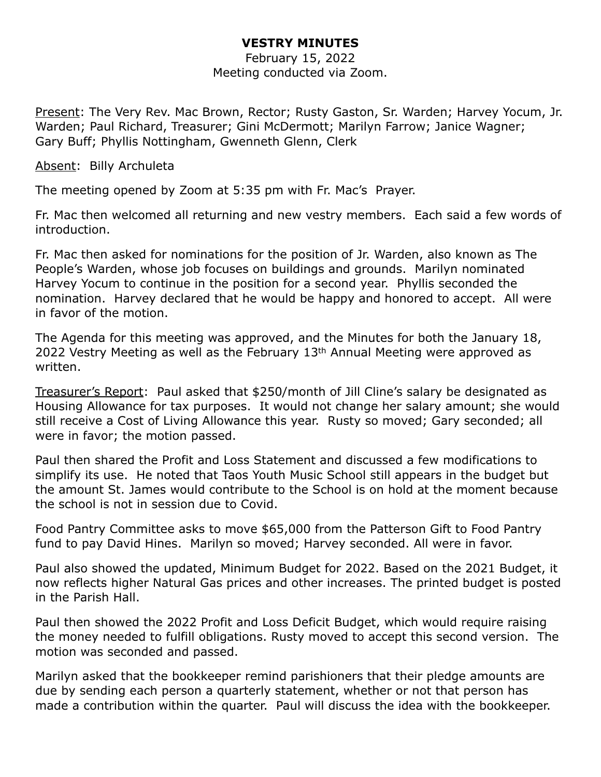#### **VESTRY MINUTES**

February 15, 2022 Meeting conducted via Zoom.

Present: The Very Rev. Mac Brown, Rector; Rusty Gaston, Sr. Warden; Harvey Yocum, Jr. Warden; Paul Richard, Treasurer; Gini McDermott; Marilyn Farrow; Janice Wagner; Gary Buff; Phyllis Nottingham, Gwenneth Glenn, Clerk

Absent: Billy Archuleta

The meeting opened by Zoom at 5:35 pm with Fr. Mac's Prayer.

Fr. Mac then welcomed all returning and new vestry members. Each said a few words of introduction.

Fr. Mac then asked for nominations for the position of Jr. Warden, also known as The People's Warden, whose job focuses on buildings and grounds. Marilyn nominated Harvey Yocum to continue in the position for a second year. Phyllis seconded the nomination. Harvey declared that he would be happy and honored to accept. All were in favor of the motion.

The Agenda for this meeting was approved, and the Minutes for both the January 18, 2022 Vestry Meeting as well as the February 13th Annual Meeting were approved as written.

Treasurer's Report: Paul asked that \$250/month of Jill Cline's salary be designated as Housing Allowance for tax purposes. It would not change her salary amount; she would still receive a Cost of Living Allowance this year. Rusty so moved; Gary seconded; all were in favor; the motion passed.

Paul then shared the Profit and Loss Statement and discussed a few modifications to simplify its use. He noted that Taos Youth Music School still appears in the budget but the amount St. James would contribute to the School is on hold at the moment because the school is not in session due to Covid.

Food Pantry Committee asks to move \$65,000 from the Patterson Gift to Food Pantry fund to pay David Hines. Marilyn so moved; Harvey seconded. All were in favor.

Paul also showed the updated, Minimum Budget for 2022. Based on the 2021 Budget, it now reflects higher Natural Gas prices and other increases. The printed budget is posted in the Parish Hall.

Paul then showed the 2022 Profit and Loss Deficit Budget, which would require raising the money needed to fulfill obligations. Rusty moved to accept this second version. The motion was seconded and passed.

Marilyn asked that the bookkeeper remind parishioners that their pledge amounts are due by sending each person a quarterly statement, whether or not that person has made a contribution within the quarter. Paul will discuss the idea with the bookkeeper.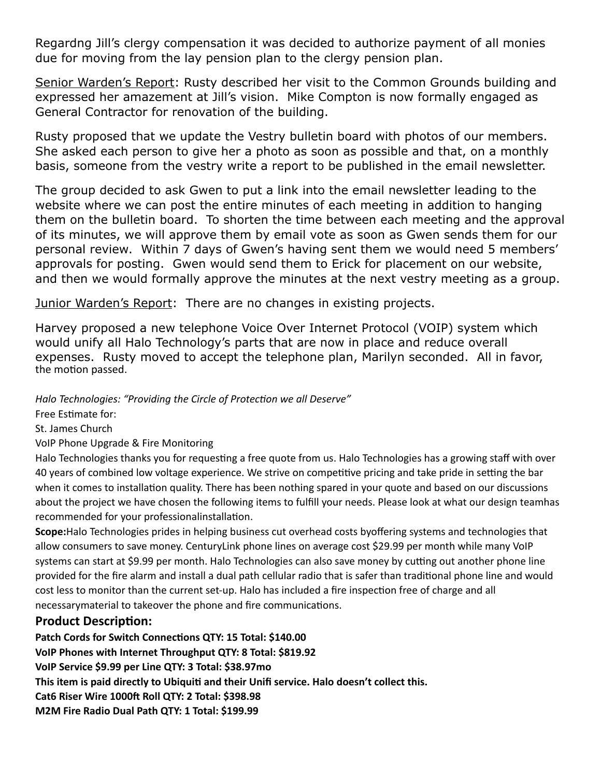Regardng Jill's clergy compensation it was decided to authorize payment of all monies due for moving from the lay pension plan to the clergy pension plan.

Senior Warden's Report: Rusty described her visit to the Common Grounds building and expressed her amazement at Jill's vision. Mike Compton is now formally engaged as General Contractor for renovation of the building.

Rusty proposed that we update the Vestry bulletin board with photos of our members. She asked each person to give her a photo as soon as possible and that, on a monthly basis, someone from the vestry write a report to be published in the email newsletter.

The group decided to ask Gwen to put a link into the email newsletter leading to the website where we can post the entire minutes of each meeting in addition to hanging them on the bulletin board. To shorten the time between each meeting and the approval of its minutes, we will approve them by email vote as soon as Gwen sends them for our personal review. Within 7 days of Gwen's having sent them we would need 5 members' approvals for posting. Gwen would send them to Erick for placement on our website, and then we would formally approve the minutes at the next vestry meeting as a group.

Junior Warden's Report: There are no changes in existing projects.

Harvey proposed a new telephone Voice Over Internet Protocol (VOIP) system which would unify all Halo Technology's parts that are now in place and reduce overall expenses. Rusty moved to accept the telephone plan, Marilyn seconded. All in favor, the motion passed.

*Halo Technologies: "Providing the Circle of Protection we all Deserve"* 

Free Estimate for:

St. James Church

VoIP Phone Upgrade & Fire Monitoring

Halo Technologies thanks you for requesting a free quote from us. Halo Technologies has a growing staff with over 40 years of combined low voltage experience. We strive on competitive pricing and take pride in setting the bar when it comes to installation quality. There has been nothing spared in your quote and based on our discussions about the project we have chosen the following items to fulfill your needs. Please look at what our design teamhas recommended for your professionalinstallation.

**Scope:**Halo Technologies prides in helping business cut overhead costs byoffering systems and technologies that allow consumers to save money. CenturyLink phone lines on average cost \$29.99 per month while many VoIP systems can start at \$9.99 per month. Halo Technologies can also save money by cutting out another phone line provided for the fire alarm and install a dual path cellular radio that is safer than traditional phone line and would cost less to monitor than the current set-up. Halo has included a fire inspection free of charge and all necessarymaterial to takeover the phone and fire communications.

#### **Product Description:**

**Patch Cords for Switch Connections QTY: 15 Total: \$140.00 VoIP Phones with Internet Throughput QTY: 8 Total: \$819.92 VoIP Service \$9.99 per Line QTY: 3 Total: \$38.97mo This item is paid directly to Ubiquiti and their Unifi service. Halo doesn't collect this. Cat6 Riser Wire 1000ft Roll QTY: 2 Total: \$398.98 M2M Fire Radio Dual Path QTY: 1 Total: \$199.99**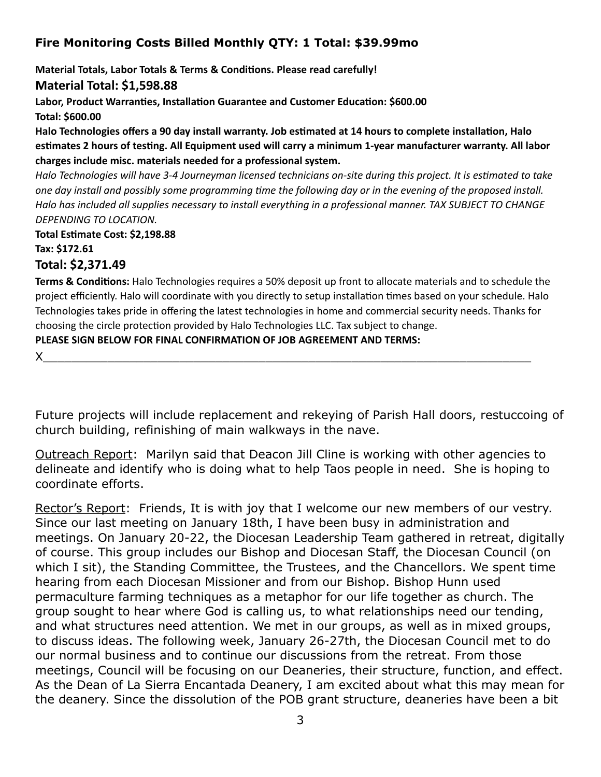## **Fire Monitoring Costs Billed Monthly QTY: 1 Total: \$39.99mo**

**Material Totals, Labor Totals & Terms & Conditions. Please read carefully!** 

**Material Total: \$1,598.88** 

**Labor, Product Warranties, Installation Guarantee and Customer Education: \$600.00 Total: \$600.00** 

**Halo Technologies offers a 90 day install warranty. Job estimated at 14 hours to complete installation, Halo estimates 2 hours of testing. All Equipment used will carry a minimum 1-year manufacturer warranty. All labor charges include misc. materials needed for a professional system.** 

*Halo Technologies will have 3-4 Journeyman licensed technicians on-site during this project. It is estimated to take one day install and possibly some programming time the following day or in the evening of the proposed install. Halo has included all supplies necessary to install everything in a professional manner. TAX SUBJECT TO CHANGE DEPENDING TO LOCATION.* 

**Total Estimate Cost: \$2,198.88 Tax: \$172.61** 

### **Total: \$2,371.49**

**Terms & Conditions:** Halo Technologies requires a 50% deposit up front to allocate materials and to schedule the project efficiently. Halo will coordinate with you directly to setup installation times based on your schedule. Halo Technologies takes pride in offering the latest technologies in home and commercial security needs. Thanks for choosing the circle protection provided by Halo Technologies LLC. Tax subject to change.

**PLEASE SIGN BELOW FOR FINAL CONFIRMATION OF JOB AGREEMENT AND TERMS:** 

X\_\_\_\_\_\_\_\_\_\_\_\_\_\_\_\_\_\_\_\_\_\_\_\_\_\_\_\_\_\_\_\_\_\_\_\_\_\_\_\_\_\_\_\_\_\_\_\_\_\_\_\_\_\_\_\_\_\_\_\_\_\_\_\_\_\_\_\_

Future projects will include replacement and rekeying of Parish Hall doors, restuccoing of church building, refinishing of main walkways in the nave.

Outreach Report: Marilyn said that Deacon Jill Cline is working with other agencies to delineate and identify who is doing what to help Taos people in need. She is hoping to coordinate efforts.

Rector's Report: Friends, It is with joy that I welcome our new members of our vestry. Since our last meeting on January 18th, I have been busy in administration and meetings. On January 20-22, the Diocesan Leadership Team gathered in retreat, digitally of course. This group includes our Bishop and Diocesan Staff, the Diocesan Council (on which I sit), the Standing Committee, the Trustees, and the Chancellors. We spent time hearing from each Diocesan Missioner and from our Bishop. Bishop Hunn used permaculture farming techniques as a metaphor for our life together as church. The group sought to hear where God is calling us, to what relationships need our tending, and what structures need attention. We met in our groups, as well as in mixed groups, to discuss ideas. The following week, January 26-27th, the Diocesan Council met to do our normal business and to continue our discussions from the retreat. From those meetings, Council will be focusing on our Deaneries, their structure, function, and effect. As the Dean of La Sierra Encantada Deanery, I am excited about what this may mean for the deanery. Since the dissolution of the POB grant structure, deaneries have been a bit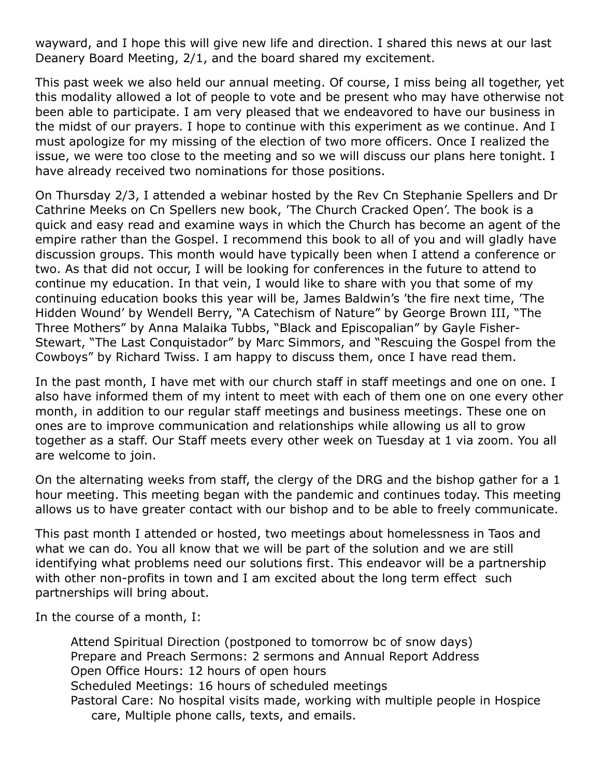wayward, and I hope this will give new life and direction. I shared this news at our last Deanery Board Meeting, 2/1, and the board shared my excitement.

This past week we also held our annual meeting. Of course, I miss being all together, yet this modality allowed a lot of people to vote and be present who may have otherwise not been able to participate. I am very pleased that we endeavored to have our business in the midst of our prayers. I hope to continue with this experiment as we continue. And I must apologize for my missing of the election of two more officers. Once I realized the issue, we were too close to the meeting and so we will discuss our plans here tonight. I have already received two nominations for those positions.

On Thursday 2/3, I attended a webinar hosted by the Rev Cn Stephanie Spellers and Dr Cathrine Meeks on Cn Spellers new book, 'The Church Cracked Open'. The book is a quick and easy read and examine ways in which the Church has become an agent of the empire rather than the Gospel. I recommend this book to all of you and will gladly have discussion groups. This month would have typically been when I attend a conference or two. As that did not occur, I will be looking for conferences in the future to attend to continue my education. In that vein, I would like to share with you that some of my continuing education books this year will be, James Baldwin's 'the fire next time, 'The Hidden Wound' by Wendell Berry, "A Catechism of Nature" by George Brown III, "The Three Mothers" by Anna Malaika Tubbs, "Black and Episcopalian" by Gayle Fisher-Stewart, "The Last Conquistador" by Marc Simmors, and "Rescuing the Gospel from the Cowboys" by Richard Twiss. I am happy to discuss them, once I have read them.

In the past month, I have met with our church staff in staff meetings and one on one. I also have informed them of my intent to meet with each of them one on one every other month, in addition to our regular staff meetings and business meetings. These one on ones are to improve communication and relationships while allowing us all to grow together as a staff. Our Staff meets every other week on Tuesday at 1 via zoom. You all are welcome to join.

On the alternating weeks from staff, the clergy of the DRG and the bishop gather for a 1 hour meeting. This meeting began with the pandemic and continues today. This meeting allows us to have greater contact with our bishop and to be able to freely communicate.

This past month I attended or hosted, two meetings about homelessness in Taos and what we can do. You all know that we will be part of the solution and we are still identifying what problems need our solutions first. This endeavor will be a partnership with other non-profits in town and I am excited about the long term effect such partnerships will bring about.

In the course of a month, I:

Attend Spiritual Direction (postponed to tomorrow bc of snow days) Prepare and Preach Sermons: 2 sermons and Annual Report Address Open Office Hours: 12 hours of open hours Scheduled Meetings: 16 hours of scheduled meetings Pastoral Care: No hospital visits made, working with multiple people in Hospice care, Multiple phone calls, texts, and emails.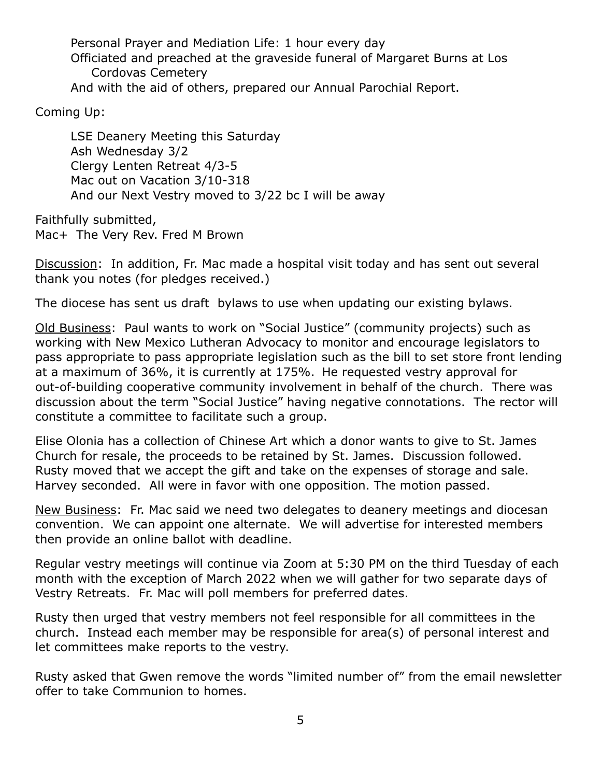Personal Prayer and Mediation Life: 1 hour every day Officiated and preached at the graveside funeral of Margaret Burns at Los Cordovas Cemetery And with the aid of others, prepared our Annual Parochial Report.

Coming Up:

LSE Deanery Meeting this Saturday Ash Wednesday 3/2 Clergy Lenten Retreat 4/3-5 Mac out on Vacation 3/10-318 And our Next Vestry moved to 3/22 bc I will be away

Faithfully submitted, Mac+ The Very Rev. Fred M Brown

Discussion: In addition, Fr. Mac made a hospital visit today and has sent out several thank you notes (for pledges received.)

The diocese has sent us draft bylaws to use when updating our existing bylaws.

Old Business: Paul wants to work on "Social Justice" (community projects) such as working with New Mexico Lutheran Advocacy to monitor and encourage legislators to pass appropriate to pass appropriate legislation such as the bill to set store front lending at a maximum of 36%, it is currently at 175%. He requested vestry approval for out-of-building cooperative community involvement in behalf of the church. There was discussion about the term "Social Justice" having negative connotations. The rector will constitute a committee to facilitate such a group.

Elise Olonia has a collection of Chinese Art which a donor wants to give to St. James Church for resale, the proceeds to be retained by St. James. Discussion followed. Rusty moved that we accept the gift and take on the expenses of storage and sale. Harvey seconded. All were in favor with one opposition. The motion passed.

New Business: Fr. Mac said we need two delegates to deanery meetings and diocesan convention. We can appoint one alternate. We will advertise for interested members then provide an online ballot with deadline.

Regular vestry meetings will continue via Zoom at 5:30 PM on the third Tuesday of each month with the exception of March 2022 when we will gather for two separate days of Vestry Retreats. Fr. Mac will poll members for preferred dates.

Rusty then urged that vestry members not feel responsible for all committees in the church. Instead each member may be responsible for area(s) of personal interest and let committees make reports to the vestry.

Rusty asked that Gwen remove the words "limited number of" from the email newsletter offer to take Communion to homes.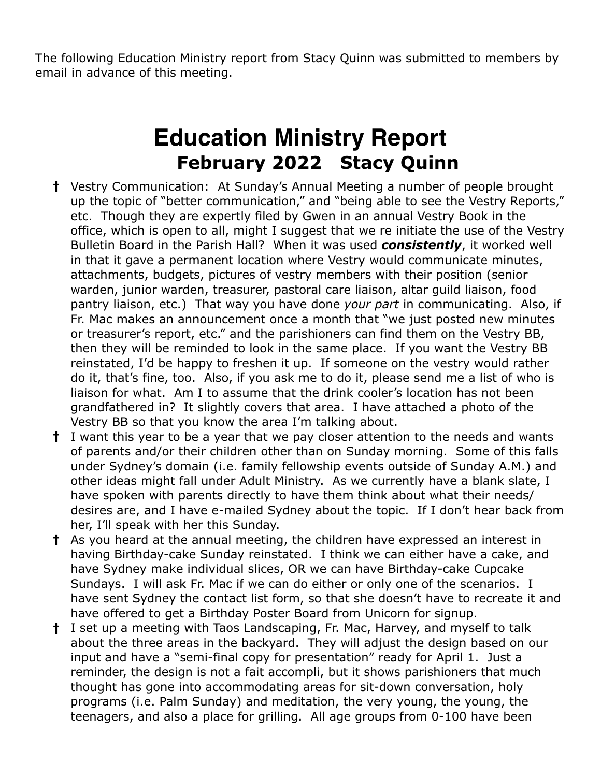The following Education Ministry report from Stacy Quinn was submitted to members by email in advance of this meeting.

# **Education Ministry Report February 2022 Stacy Quinn**

- **†** Vestry Communication: At Sunday's Annual Meeting a number of people brought up the topic of "better communication," and "being able to see the Vestry Reports," etc. Though they are expertly filed by Gwen in an annual Vestry Book in the office, which is open to all, might I suggest that we re initiate the use of the Vestry Bulletin Board in the Parish Hall? When it was used *consistently*, it worked well in that it gave a permanent location where Vestry would communicate minutes, attachments, budgets, pictures of vestry members with their position (senior warden, junior warden, treasurer, pastoral care liaison, altar guild liaison, food pantry liaison, etc.) That way you have done *your part* in communicating. Also, if Fr. Mac makes an announcement once a month that "we just posted new minutes or treasurer's report, etc." and the parishioners can find them on the Vestry BB, then they will be reminded to look in the same place. If you want the Vestry BB reinstated, I'd be happy to freshen it up. If someone on the vestry would rather do it, that's fine, too. Also, if you ask me to do it, please send me a list of who is liaison for what. Am I to assume that the drink cooler's location has not been grandfathered in? It slightly covers that area. I have attached a photo of the Vestry BB so that you know the area I'm talking about.
- **†** I want this year to be a year that we pay closer attention to the needs and wants of parents and/or their children other than on Sunday morning. Some of this falls under Sydney's domain (i.e. family fellowship events outside of Sunday A.M.) and other ideas might fall under Adult Ministry. As we currently have a blank slate, I have spoken with parents directly to have them think about what their needs/ desires are, and I have e-mailed Sydney about the topic. If I don't hear back from her, I'll speak with her this Sunday.
- **†** As you heard at the annual meeting, the children have expressed an interest in having Birthday-cake Sunday reinstated. I think we can either have a cake, and have Sydney make individual slices, OR we can have Birthday-cake Cupcake Sundays. I will ask Fr. Mac if we can do either or only one of the scenarios. I have sent Sydney the contact list form, so that she doesn't have to recreate it and have offered to get a Birthday Poster Board from Unicorn for signup.
- **†** I set up a meeting with Taos Landscaping, Fr. Mac, Harvey, and myself to talk about the three areas in the backyard. They will adjust the design based on our input and have a "semi-final copy for presentation" ready for April 1. Just a reminder, the design is not a fait accompli, but it shows parishioners that much thought has gone into accommodating areas for sit-down conversation, holy programs (i.e. Palm Sunday) and meditation, the very young, the young, the teenagers, and also a place for grilling. All age groups from 0-100 have been